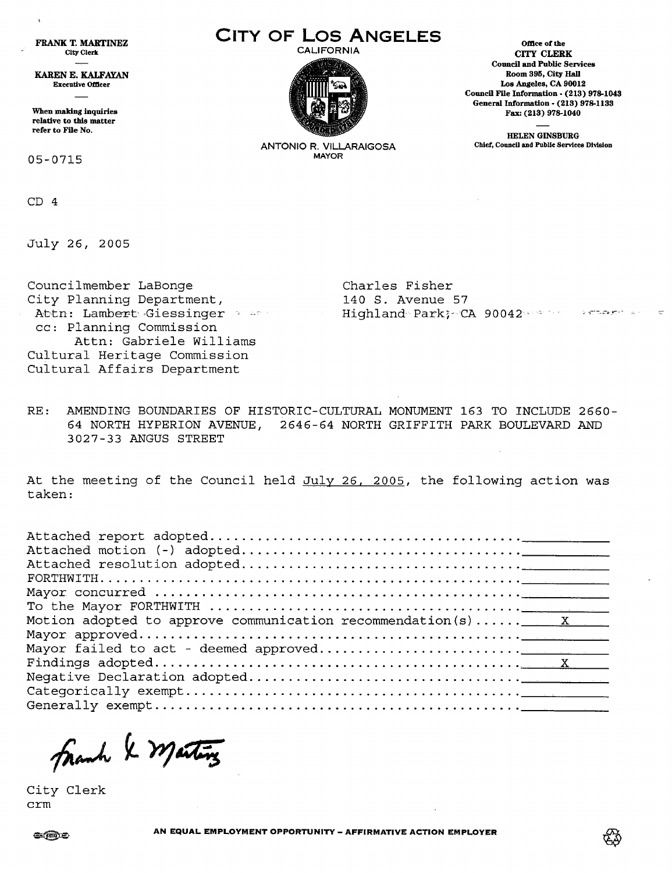FRANK T. MARTINEZ City Clerk

KAREN E. KALFAYAN Executive OfDcer

When making inquiries relative to this matter refer to File No.

05-0715

CD 4

 $\mathbf{t}$ 

July 26, 2005

Councilmember LaBonge City Planning Department, cc: Planning Commission Attn: Gabriele Williams Cultural Heritage Commission Cultural Affairs Department

**CITY OF LOS ANGELES** omceofthe



CITY CLERK Council and Public Services Room 395, City Hall Los Angeles, CA 90012 Council File Information • (213) 978-1043 General Information - (213) 978-1133 Fax: (213) 978-1040

HELEN GINSBURG Chief, Council and Public Services Division

ANTONIO R. VILLARAIGOSA MAYOR

Attn: Lambert Giessinger - -

Charles Fisher 140 S. Avenue 57 Highland Park; CA 90042 and the stream and

RE: AMENDING BOUNDARIES OF HISTORIC-CULTURAL MONUMENT 163 TO INCLUDE 2660- 64 NORTH HYPERION AVENUE, 2646-64 NORTH GRIFFITH PARK BOULEVARD AND 3027-33 ANGUS STREET

At the meeting of the Council held July 26, 2005, the following action was taken:

| Motion adopted to approve communication recommendation(s) $x = x$ |
|-------------------------------------------------------------------|
|                                                                   |
|                                                                   |
|                                                                   |
|                                                                   |
|                                                                   |
|                                                                   |
|                                                                   |

City Clerk crm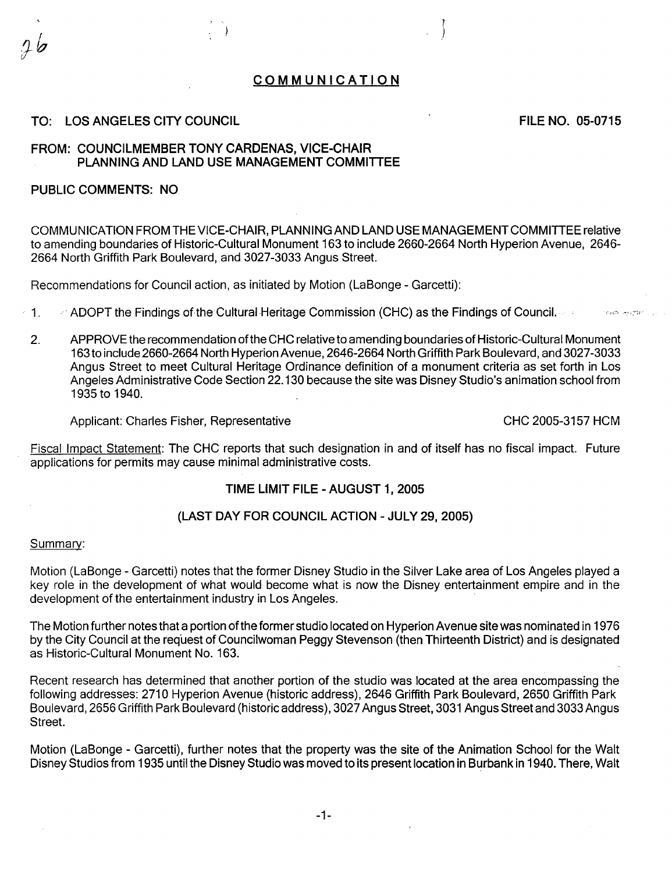# COMMUNICATION

# TO: LOS ANGELES CITY COUNCIL

FILE NO. 05-0715

### FROM: COUNCILMEMBER TONY CARDENAS, VICE-CHAIR PLANNING AND LAND USE MANAGEMENT COMMITTEE

### PUBLIC COMMENTS: NO

COMMUNICATION FROM THE VICE-CHAIR, PLANNING AND LAND USE MANAGEMENT COMMITTEE relative to amending boundaries of Historic-Cultural Monument 163 to include 2660-2664 North Hyperion Avenue, 2646- 2664 North Griffith Park Boulevard, and 3027-3033 Angus Street.

Recommendations for Council action, as initiated by Motion (LaBonge- Garcetti):

- $\cdot$  1.  $\cdot$   $\cdot$  ADOPT the Findings of the Cultural Heritage Commission (CHC) as the Findings of Council.
	- 2. APPROVE the recommendation ofthe CHC relative to amending boundaries of Historic-Cultural Monument 163 to include 2660-2664 North Hyperion Avenue, 2646-2664 North Griffith Park Boulevard, and 3027-3033 Angus Street to meet Cultural Heritage Ordinance definition of a monument criteria as set forth in Los Angeles Administrative Code Section 22.130 because the site was Disney Studio's animation school from 1935 to 1940.

Applicant: Charles Fisher, Representative CHC 2005-3157 HCM

 $\mathcal{R}_{\mathcal{A}}$  and  $\mathcal{R}_{\mathcal{A}}$  and  $\mathcal{R}_{\mathcal{A}}$ 

Fiscal Impact Statement: The CHC reports that such designation in and of itself has no fiscal impact. Future applications for permits may cause minimal administrative costs.

# TIME LIMIT FILE - AUGUST 1, 2005

#### (LAST DAY FOR COUNCIL ACTION- JULY 29, 2005)

#### Summary:

Motion (LaBonge- Garcetti) notes that the former Disney Studio in the Silver Lake area of Los Angeles played a key role in the development of what would become what is now the Disney entertainment empire and in the development of the entertainment industry in Los Angeles.

The Motion further notes that a portion ofthe former studio located on Hyperion Avenue site was nominated in 1976 by the City Council at the request of Councilwoman Peggy Stevenson (then Thirteenth District) and is designated as Historic-Cultural Monument No. 163.

Recent research has determined that another portion of the studio was located at the area encompassing the following addresses: 2710 Hyperion Avenue (historic address), 2646 Griffith Park Boulevard, 2650 Griffith Park Boulevard, 2656 Griffith Park Boulevard (historic address), 3027 Angus Street, 3031 Angus Street and 3033 Angus Street.

Motion (LaBonge - Garcetti), further notes that the property was the site of the Animation School for the Walt Disney Studios from 1935 until the Disney Studio was moved to its present location in Burbank in 1940. There, Walt